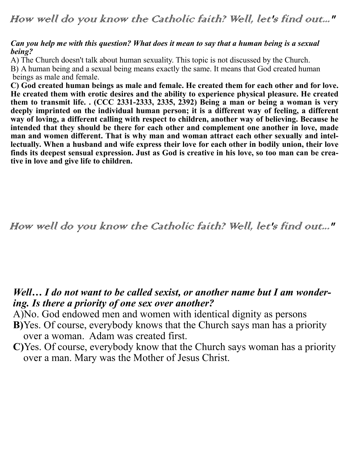### *Can you help me with this question? What does it mean to say that a human being is a sexual being?*

A) The Church doesn't talk about human sexuality. This topic is not discussed by the Church.

B) A human being and a sexual being means exactly the same. It means that God created human beings as male and female.

**C) God created human beings as male and female. He created them for each other and for love. He created them with erotic desires and the ability to experience physical pleasure. He created them to transmit life. . (CCC 2331-2333, 2335, 2392) Being a man or being a woman is very deeply imprinted on the individual human person; it is a different way of feeling, a different way of loving, a different calling with respect to children, another way of believing. Because he intended that they should be there for each other and complement one another in love, made man and women different. That is why man and woman attract each other sexually and intellectually. When a husband and wife express their love for each other in bodily union, their love finds its deepest sensual expression. Just as God is creative in his love, so too man can be creative in love and give life to children.**

How well do you know the Catholic faith? Well, let's find out..."

### *Well… I do not want to be called sexist, or another name but I am wondering. Is there a priority of one sex over another?*

A)No. God endowed men and women with identical dignity as persons

- **B)**Yes. Of course, everybody knows that the Church says man has a priority over a woman. Adam was created first.
- **C)**Yes. Of course, everybody know that the Church says woman has a priority over a man. Mary was the Mother of Jesus Christ.